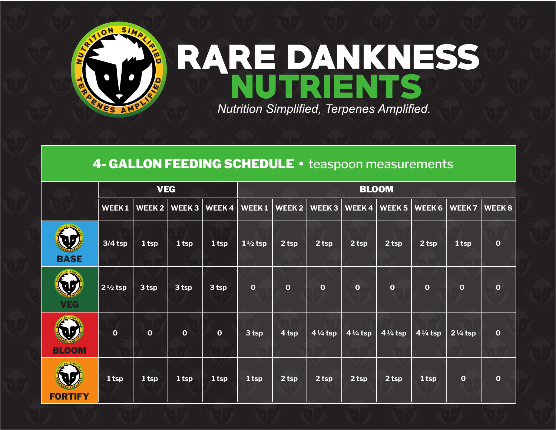

## RARE DANKNESS Nutrition Simplified, Terpenes Amplified.

## 4- GALLON FEEDING SCHEDULE . teaspoon measurements

|                                | <b>VEG</b>         |                  |                   |                  | <b>BLOOM</b>       |                   |                    |                    |                    |                    |                    |              |  |
|--------------------------------|--------------------|------------------|-------------------|------------------|--------------------|-------------------|--------------------|--------------------|--------------------|--------------------|--------------------|--------------|--|
|                                | WEEK1              | WEEK 2           | WEEK <sub>3</sub> | WEEK4            | WEEK1              | WEEK <sub>2</sub> | <b>WEEK3</b>       | WEEK4              | <b>WEEK5</b>       | <b>WEEK 6</b>      | <b>WEEK7</b>       | <b>WEEK8</b> |  |
| W<br><b>BASE</b>               | $3/4$ tsp          | 1 <sub>tp</sub>  | 1 tsp             | 1 <sub>tsp</sub> | $1\frac{1}{2}$ tsp | 2 <sub>tsp</sub>  | 2 <sub>tsp</sub>   | $2$ tsp            | 2 <sub>tsp</sub>   | 2 <sub>tsp</sub>   | 1 tsp              | $\mathbf{o}$ |  |
| <b>IQUE</b><br><b>VEG</b>      | $2\frac{1}{2}$ tsp | 3 tsp            | 3 tsp             | 3 tsp            | $\mathbf{o}$       | $\mathbf 0$       | $\mathbf{o}$       | $\mathbf{o}$       | $\mathbf{o}$       | $\mathbf{o}$       | $\bf{0}$           | $\mathbf 0$  |  |
| W<br><b>BLOOM</b>              | $\mathbf{o}$       | $\mathbf{o}$     | $\mathbf{o}$      | $\mathbf 0$      | 3 tsp              | 4 tsp             | $4\frac{1}{4}$ tsp | $4\frac{1}{4}$ tsp | $4\frac{1}{4}$ tsp | $4\frac{1}{4}$ tsp | $2\frac{1}{4}$ tsp | $\mathbf{o}$ |  |
| $\mathbf{U}$<br><b>FORTIFY</b> | 1 tsp              | 1 <sub>tsp</sub> | 1 tsp             | 1 <sub>tsp</sub> | 1 tsp              | 2 <sub>tsp</sub>  | 2 tsp              | 2 <sub>tsp</sub>   | 2 <sub>tsp</sub>   | $1$ tsp            | $\overline{0}$     | $\mathbf 0$  |  |